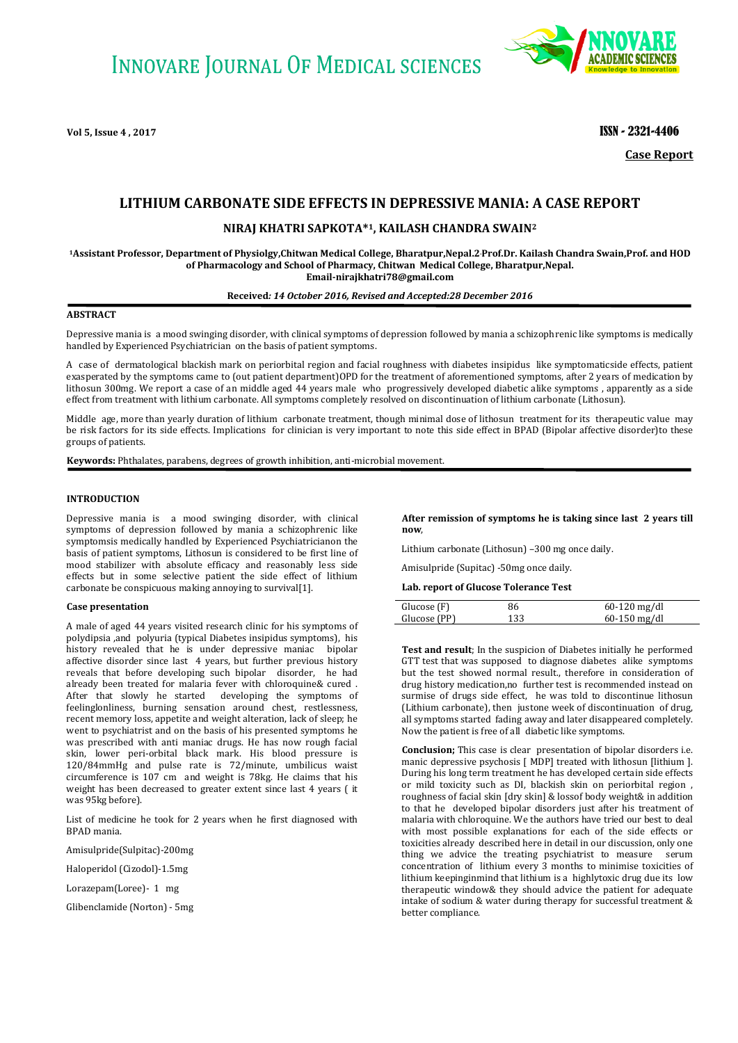

**Vol 5, Issue 4 , 2017** ISSN - 2321-4406

**Case Report**

# **LITHIUM CARBONATE SIDE EFFECTS IN DEPRESSIVE MANIA: A CASE REPORT**

# **NIRAJ KHATRI SAPKOTA\*1, KAILASH CHANDRA SWAIN<sup>2</sup>**

**<sup>1</sup>Assistant Professor, Department of Physiolgy,Chitwan Medical College, Bharatpur,Nepal.2.Prof.Dr. Kailash Chandra Swain,Prof. and HOD of Pharmacology and School of Pharmacy, Chitwan Medical College, Bharatpur,Nepal. [Email-nirajkhatri78@gmail.com](mailto:Email-nirajkhatri78@gmail.com)**

## **Received***: 14 October 2016, Revised and Accepted:28 December 2016*

#### **ABSTRACT**

Depressive mania is a mood swinging disorder, with clinical symptoms of depression followed by mania a schizophrenic like symptoms is medically handled by Experienced Psychiatrician on the basis of patient symptoms.

A case of dermatological blackish mark on periorbital region and facial roughness with diabetes insipidus like symptomaticside effects, patient exasperated by the symptoms came to (out patient department)OPD for the treatment of aforementioned symptoms, after 2 years of medication by lithosun 300mg. We report a case of an middle aged 44 years male who progressively developed diabetic alike symptoms , apparently as a side effect from treatment with lithium carbonate. All symptoms completely resolved on discontinuation of lithium carbonate (Lithosun).

Middle age, more than yearly duration of lithium carbonate treatment, though minimal dose of lithosun treatment for its therapeutic value may be risk factors for its side effects. Implications for clinician is very important to note this side effect in BPAD (Bipolar affective disorder)to these groups of patients.

**Keywords:** Phthalates, parabens, degrees of growth inhibition, anti-microbial movement.

## **INTRODUCTION**

Depressive mania is a mood swinging disorder, with clinical symptoms of depression followed by mania a schizophrenic like symptomsis medically handled by Experienced Psychiatricianon the basis of patient symptoms, Lithosun is considered to be first line of mood stabilizer with absolute efficacy and reasonably less side effects but in some selective patient the side effect of lithium carbonate be conspicuous making annoying to survival[1].

### **Case presentation**

A male of aged 44 years visited research clinic for his symptoms of polydipsia ,and polyuria (typical Diabetes insipidus symptoms), his history revealed that he is under depressive maniac bipolar affective disorder since last 4 years, but further previous history reveals that before developing such bipolar disorder, he had already been treated for malaria fever with chloroquine& cured . After that slowly he started developing the symptoms of feelinglonliness, burning sensation around chest, restlessness, recent memory loss, appetite and weight alteration, lack of sleep; he went to psychiatrist and on the basis of his presented symptoms he was prescribed with anti maniac drugs. He has now rough facial skin, lower peri-orbital black mark. His blood pressure is 120/84mmHg and pulse rate is 72/minute, umbilicus waist circumference is 107 cm and weight is 78kg. He claims that his weight has been decreased to greater extent since last 4 years ( it was 95kg before).

List of medicine he took for 2 years when he first diagnosed with BPAD mania.

Amisulpride(Sulpitac)-200mg

Haloperidol (Cizodol)-1.5mg

Lorazepam(Loree)- 1 mg

Glibenclamide (Norton) - 5mg

**After remission of symptoms he is taking since last 2 years till now**,

Lithium carbonate (Lithosun) –300 mg once daily.

Amisulpride (Supitac) -50mg once daily.

**Lab. report of Glucose Tolerance Test**

| Glucose (F)  | 86  | $60-120$ mg/dl |
|--------------|-----|----------------|
| Glucose (PP) | 133 | $60-150$ mg/dl |

**Test and result**; In the suspicion of Diabetes initially he performed GTT test that was supposed to diagnose diabetes alike symptoms but the test showed normal result., therefore in consideration of drug history medication,no further test is recommended instead on surmise of drugs side effect, he was told to discontinue lithosun (Lithium carbonate), then justone week of discontinuation of drug, all symptoms started fading away and later disappeared completely. Now the patient is free of all diabetic like symptoms.

**Conclusion;** This case is clear presentation of bipolar disorders i.e. manic depressive psychosis [ MDP] treated with lithosun [lithium ]. During his long term treatment he has developed certain side effects or mild toxicity such as DI, blackish skin on periorbital region , roughness of facial skin [dry skin] & lossof body weight& in addition to that he developed bipolar disorders just after his treatment of malaria with chloroquine. We the authors have tried our best to deal with most possible explanations for each of the side effects or toxicities already described here in detail in our discussion, only one thing we advice the treating psychiatrist to measure serum concentration of lithium every 3 months to minimise toxicities of lithium keepinginmind that lithium is a highlytoxic drug due its low therapeutic window& they should advice the patient for adequate intake of sodium & water during therapy for successful treatment & better compliance.